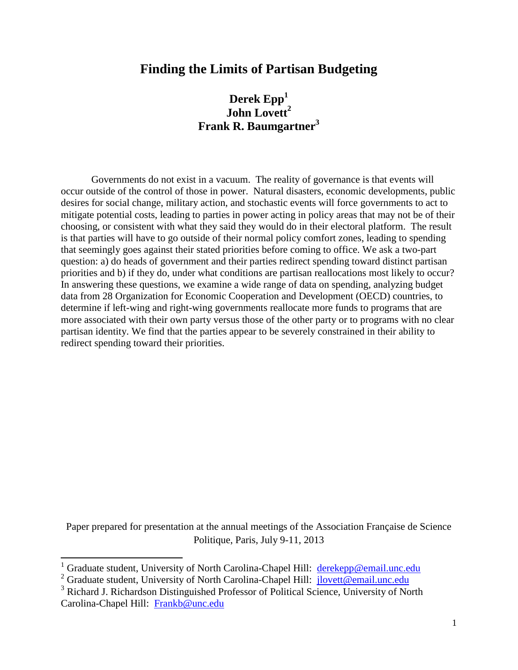### **Finding the Limits of Partisan Budgeting**

**Derek Epp<sup>1</sup> John Lovett<sup>2</sup> Frank R. Baumgartner<sup>3</sup>**

Governments do not exist in a vacuum. The reality of governance is that events will occur outside of the control of those in power. Natural disasters, economic developments, public desires for social change, military action, and stochastic events will force governments to act to mitigate potential costs, leading to parties in power acting in policy areas that may not be of their choosing, or consistent with what they said they would do in their electoral platform. The result is that parties will have to go outside of their normal policy comfort zones, leading to spending that seemingly goes against their stated priorities before coming to office. We ask a two-part question: a) do heads of government and their parties redirect spending toward distinct partisan priorities and b) if they do, under what conditions are partisan reallocations most likely to occur? In answering these questions, we examine a wide range of data on spending, analyzing budget data from 28 Organization for Economic Cooperation and Development (OECD) countries, to determine if left-wing and right-wing governments reallocate more funds to programs that are more associated with their own party versus those of the other party or to programs with no clear partisan identity. We find that the parties appear to be severely constrained in their ability to redirect spending toward their priorities.

Paper prepared for presentation at the annual meetings of the Association Française de Science Politique, Paris, July 9-11, 2013

 $\overline{a}$ 

<sup>&</sup>lt;sup>1</sup> Graduate student, University of North Carolina-Chapel Hill: [derekepp@email.unc.edu](mailto:derekepp@email.unc.edu)

<sup>&</sup>lt;sup>2</sup> Graduate student, University of North Carolina-Chapel Hill:  $\frac{1}{\text{jlovett} @ email.unc.edu}$ 

<sup>&</sup>lt;sup>3</sup> Richard J. Richardson Distinguished Professor of Political Science, University of North Carolina-Chapel Hill: [Frankb@unc.edu](mailto:Frankb@unc.edu)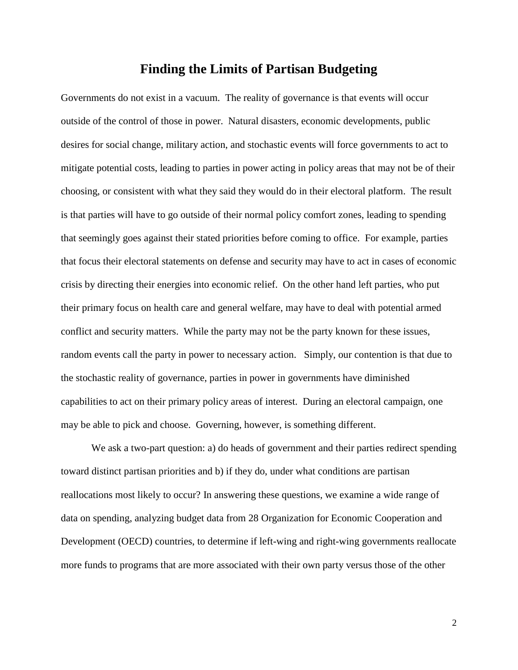### **Finding the Limits of Partisan Budgeting**

Governments do not exist in a vacuum. The reality of governance is that events will occur outside of the control of those in power. Natural disasters, economic developments, public desires for social change, military action, and stochastic events will force governments to act to mitigate potential costs, leading to parties in power acting in policy areas that may not be of their choosing, or consistent with what they said they would do in their electoral platform. The result is that parties will have to go outside of their normal policy comfort zones, leading to spending that seemingly goes against their stated priorities before coming to office. For example, parties that focus their electoral statements on defense and security may have to act in cases of economic crisis by directing their energies into economic relief. On the other hand left parties, who put their primary focus on health care and general welfare, may have to deal with potential armed conflict and security matters. While the party may not be the party known for these issues, random events call the party in power to necessary action. Simply, our contention is that due to the stochastic reality of governance, parties in power in governments have diminished capabilities to act on their primary policy areas of interest. During an electoral campaign, one may be able to pick and choose. Governing, however, is something different.

We ask a two-part question: a) do heads of government and their parties redirect spending toward distinct partisan priorities and b) if they do, under what conditions are partisan reallocations most likely to occur? In answering these questions, we examine a wide range of data on spending, analyzing budget data from 28 Organization for Economic Cooperation and Development (OECD) countries, to determine if left-wing and right-wing governments reallocate more funds to programs that are more associated with their own party versus those of the other

2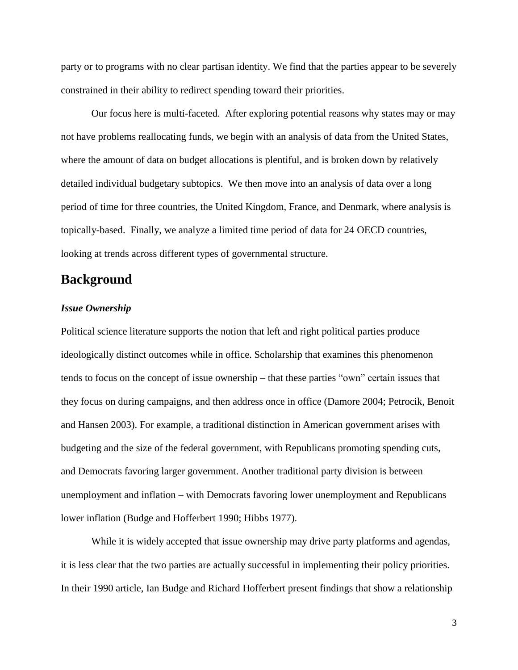party or to programs with no clear partisan identity. We find that the parties appear to be severely constrained in their ability to redirect spending toward their priorities.

Our focus here is multi-faceted. After exploring potential reasons why states may or may not have problems reallocating funds, we begin with an analysis of data from the United States, where the amount of data on budget allocations is plentiful, and is broken down by relatively detailed individual budgetary subtopics. We then move into an analysis of data over a long period of time for three countries, the United Kingdom, France, and Denmark, where analysis is topically-based. Finally, we analyze a limited time period of data for 24 OECD countries, looking at trends across different types of governmental structure.

## **Background**

#### *Issue Ownership*

Political science literature supports the notion that left and right political parties produce ideologically distinct outcomes while in office. Scholarship that examines this phenomenon tends to focus on the concept of issue ownership – that these parties "own" certain issues that they focus on during campaigns, and then address once in office (Damore 2004; Petrocik, Benoit and Hansen 2003). For example, a traditional distinction in American government arises with budgeting and the size of the federal government, with Republicans promoting spending cuts, and Democrats favoring larger government. Another traditional party division is between unemployment and inflation – with Democrats favoring lower unemployment and Republicans lower inflation (Budge and Hofferbert 1990; Hibbs 1977).

While it is widely accepted that issue ownership may drive party platforms and agendas, it is less clear that the two parties are actually successful in implementing their policy priorities. In their 1990 article, Ian Budge and Richard Hofferbert present findings that show a relationship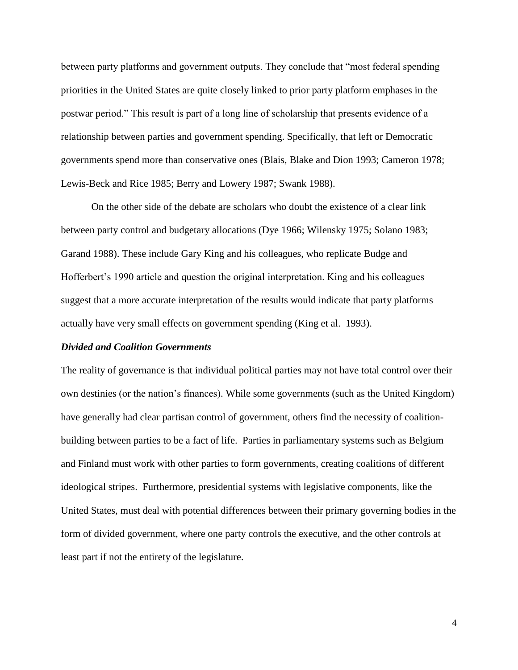between party platforms and government outputs. They conclude that "most federal spending priorities in the United States are quite closely linked to prior party platform emphases in the postwar period." This result is part of a long line of scholarship that presents evidence of a relationship between parties and government spending. Specifically, that left or Democratic governments spend more than conservative ones (Blais, Blake and Dion 1993; Cameron 1978; Lewis-Beck and Rice 1985; Berry and Lowery 1987; Swank 1988).

On the other side of the debate are scholars who doubt the existence of a clear link between party control and budgetary allocations (Dye 1966; Wilensky 1975; Solano 1983; Garand 1988). These include Gary King and his colleagues, who replicate Budge and Hofferbert"s 1990 article and question the original interpretation. King and his colleagues suggest that a more accurate interpretation of the results would indicate that party platforms actually have very small effects on government spending (King et al. 1993).

#### *Divided and Coalition Governments*

The reality of governance is that individual political parties may not have total control over their own destinies (or the nation"s finances). While some governments (such as the United Kingdom) have generally had clear partisan control of government, others find the necessity of coalitionbuilding between parties to be a fact of life. Parties in parliamentary systems such as Belgium and Finland must work with other parties to form governments, creating coalitions of different ideological stripes. Furthermore, presidential systems with legislative components, like the United States, must deal with potential differences between their primary governing bodies in the form of divided government, where one party controls the executive, and the other controls at least part if not the entirety of the legislature.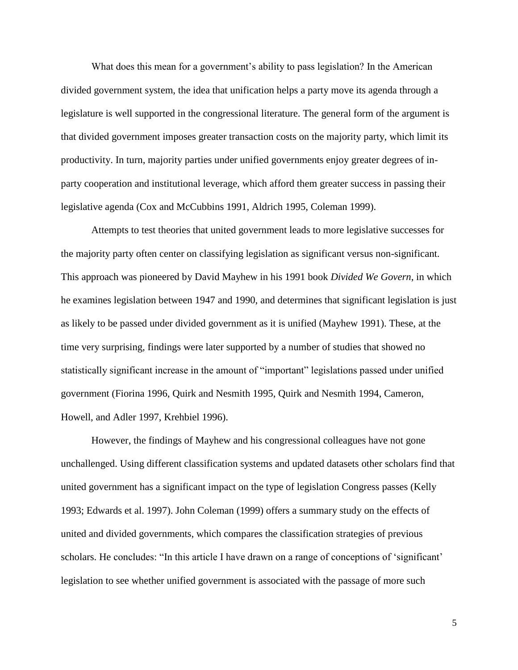What does this mean for a government's ability to pass legislation? In the American divided government system, the idea that unification helps a party move its agenda through a legislature is well supported in the congressional literature. The general form of the argument is that divided government imposes greater transaction costs on the majority party, which limit its productivity. In turn, majority parties under unified governments enjoy greater degrees of inparty cooperation and institutional leverage, which afford them greater success in passing their legislative agenda (Cox and McCubbins 1991, Aldrich 1995, Coleman 1999).

Attempts to test theories that united government leads to more legislative successes for the majority party often center on classifying legislation as significant versus non-significant. This approach was pioneered by David Mayhew in his 1991 book *Divided We Govern*, in which he examines legislation between 1947 and 1990, and determines that significant legislation is just as likely to be passed under divided government as it is unified (Mayhew 1991). These, at the time very surprising, findings were later supported by a number of studies that showed no statistically significant increase in the amount of "important" legislations passed under unified government (Fiorina 1996, Quirk and Nesmith 1995, Quirk and Nesmith 1994, Cameron, Howell, and Adler 1997, Krehbiel 1996).

However, the findings of Mayhew and his congressional colleagues have not gone unchallenged. Using different classification systems and updated datasets other scholars find that united government has a significant impact on the type of legislation Congress passes (Kelly 1993; Edwards et al. 1997). John Coleman (1999) offers a summary study on the effects of united and divided governments, which compares the classification strategies of previous scholars. He concludes: "In this article I have drawn on a range of conceptions of 'significant' legislation to see whether unified government is associated with the passage of more such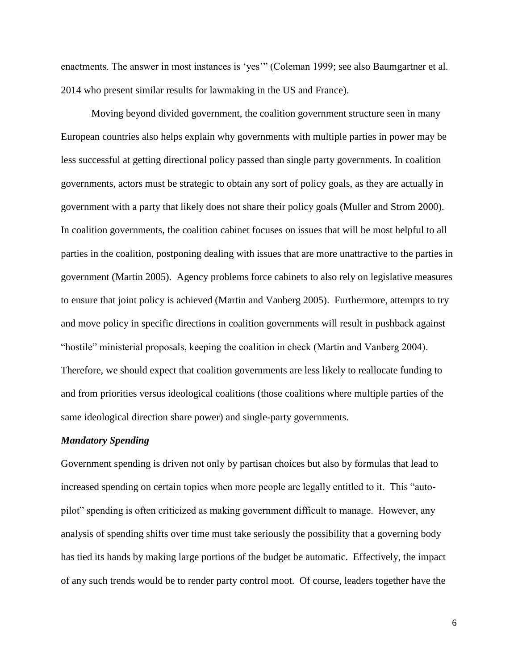enactments. The answer in most instances is 'yes'" (Coleman 1999; see also Baumgartner et al. 2014 who present similar results for lawmaking in the US and France).

Moving beyond divided government, the coalition government structure seen in many European countries also helps explain why governments with multiple parties in power may be less successful at getting directional policy passed than single party governments. In coalition governments, actors must be strategic to obtain any sort of policy goals, as they are actually in government with a party that likely does not share their policy goals (Muller and Strom 2000). In coalition governments, the coalition cabinet focuses on issues that will be most helpful to all parties in the coalition, postponing dealing with issues that are more unattractive to the parties in government (Martin 2005). Agency problems force cabinets to also rely on legislative measures to ensure that joint policy is achieved (Martin and Vanberg 2005). Furthermore, attempts to try and move policy in specific directions in coalition governments will result in pushback against "hostile" ministerial proposals, keeping the coalition in check (Martin and Vanberg 2004). Therefore, we should expect that coalition governments are less likely to reallocate funding to and from priorities versus ideological coalitions (those coalitions where multiple parties of the same ideological direction share power) and single-party governments.

#### *Mandatory Spending*

Government spending is driven not only by partisan choices but also by formulas that lead to increased spending on certain topics when more people are legally entitled to it. This "autopilot" spending is often criticized as making government difficult to manage. However, any analysis of spending shifts over time must take seriously the possibility that a governing body has tied its hands by making large portions of the budget be automatic. Effectively, the impact of any such trends would be to render party control moot. Of course, leaders together have the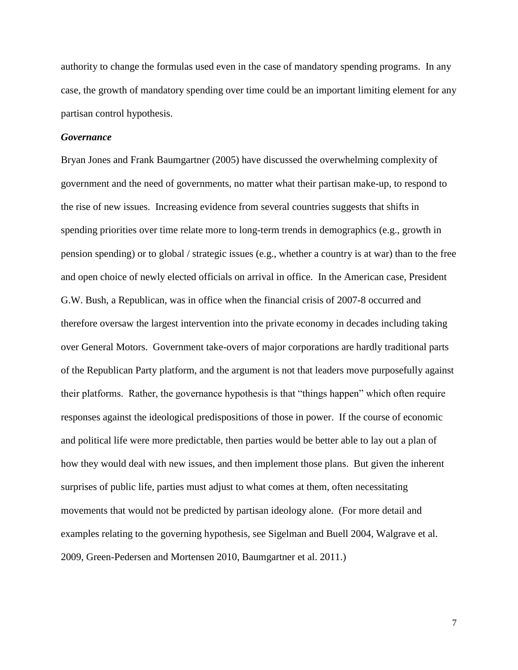authority to change the formulas used even in the case of mandatory spending programs. In any case, the growth of mandatory spending over time could be an important limiting element for any partisan control hypothesis.

#### *Governance*

Bryan Jones and Frank Baumgartner (2005) have discussed the overwhelming complexity of government and the need of governments, no matter what their partisan make-up, to respond to the rise of new issues. Increasing evidence from several countries suggests that shifts in spending priorities over time relate more to long-term trends in demographics (e.g., growth in pension spending) or to global / strategic issues (e.g., whether a country is at war) than to the free and open choice of newly elected officials on arrival in office. In the American case, President G.W. Bush, a Republican, was in office when the financial crisis of 2007-8 occurred and therefore oversaw the largest intervention into the private economy in decades including taking over General Motors. Government take-overs of major corporations are hardly traditional parts of the Republican Party platform, and the argument is not that leaders move purposefully against their platforms. Rather, the governance hypothesis is that "things happen" which often require responses against the ideological predispositions of those in power. If the course of economic and political life were more predictable, then parties would be better able to lay out a plan of how they would deal with new issues, and then implement those plans. But given the inherent surprises of public life, parties must adjust to what comes at them, often necessitating movements that would not be predicted by partisan ideology alone. (For more detail and examples relating to the governing hypothesis, see Sigelman and Buell 2004, Walgrave et al. 2009, Green-Pedersen and Mortensen 2010, Baumgartner et al. 2011.)

7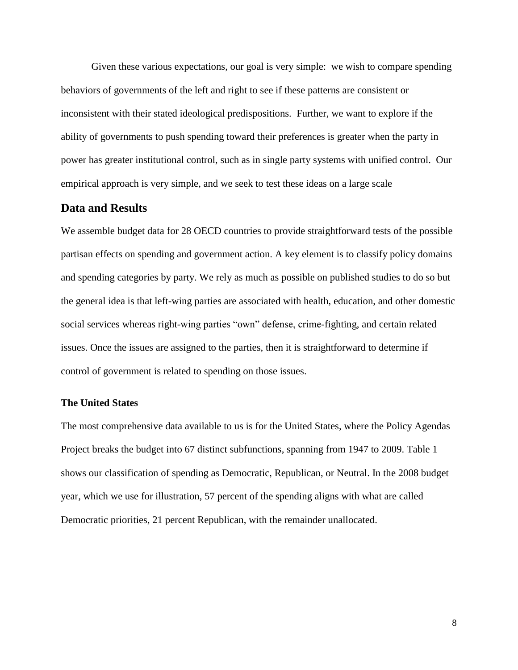Given these various expectations, our goal is very simple: we wish to compare spending behaviors of governments of the left and right to see if these patterns are consistent or inconsistent with their stated ideological predispositions. Further, we want to explore if the ability of governments to push spending toward their preferences is greater when the party in power has greater institutional control, such as in single party systems with unified control. Our empirical approach is very simple, and we seek to test these ideas on a large scale

### **Data and Results**

We assemble budget data for 28 OECD countries to provide straightforward tests of the possible partisan effects on spending and government action. A key element is to classify policy domains and spending categories by party. We rely as much as possible on published studies to do so but the general idea is that left-wing parties are associated with health, education, and other domestic social services whereas right-wing parties "own" defense, crime-fighting, and certain related issues. Once the issues are assigned to the parties, then it is straightforward to determine if control of government is related to spending on those issues.

#### **The United States**

The most comprehensive data available to us is for the United States, where the Policy Agendas Project breaks the budget into 67 distinct subfunctions, spanning from 1947 to 2009. Table 1 shows our classification of spending as Democratic, Republican, or Neutral. In the 2008 budget year, which we use for illustration, 57 percent of the spending aligns with what are called Democratic priorities, 21 percent Republican, with the remainder unallocated.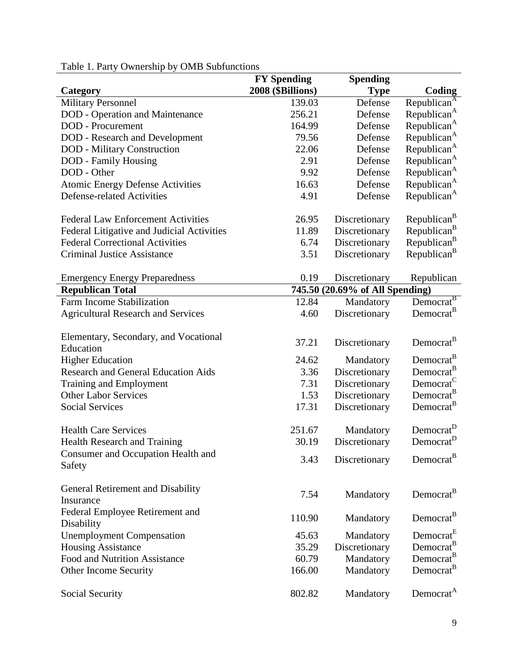| Category                                           | <b>FY Spending</b><br>2008 (\$Billions) | <b>Spending</b><br><b>Type</b>  | Coding                  |
|----------------------------------------------------|-----------------------------------------|---------------------------------|-------------------------|
| <b>Military Personnel</b>                          | 139.03                                  | Defense                         | Republican <sup>A</sup> |
| <b>DOD</b> - Operation and Maintenance             | 256.21                                  | Defense                         | Republican <sup>A</sup> |
| <b>DOD</b> - Procurement                           | 164.99                                  | Defense                         | Republican <sup>A</sup> |
| <b>DOD</b> - Research and Development              | 79.56                                   | Defense                         | Republican <sup>A</sup> |
| <b>DOD</b> - Military Construction                 | 22.06                                   | Defense                         | Republican <sup>A</sup> |
| <b>DOD</b> - Family Housing                        | 2.91                                    | Defense                         | Republican <sup>A</sup> |
| DOD - Other                                        | 9.92                                    | Defense                         | Republican <sup>A</sup> |
| <b>Atomic Energy Defense Activities</b>            | 16.63                                   | Defense                         | Republican <sup>A</sup> |
| <b>Defense-related Activities</b>                  | 4.91                                    | Defense                         | Republican <sup>A</sup> |
| <b>Federal Law Enforcement Activities</b>          | 26.95                                   | Discretionary                   | Republican <sup>B</sup> |
| Federal Litigative and Judicial Activities         | 11.89                                   | Discretionary                   | Republican <sup>B</sup> |
| <b>Federal Correctional Activities</b>             | 6.74                                    | Discretionary                   | Republican <sup>B</sup> |
| <b>Criminal Justice Assistance</b>                 | 3.51                                    | Discretionary                   | Republican <sup>B</sup> |
| <b>Emergency Energy Preparedness</b>               | 0.19                                    | Discretionary                   | Republican              |
| <b>Republican Total</b>                            |                                         | 745.50 (20.69% of All Spending) |                         |
| <b>Farm Income Stabilization</b>                   | 12.84                                   | Mandatory                       | Democrat <sup>B</sup>   |
| <b>Agricultural Research and Services</b>          | 4.60                                    | Discretionary                   | Democrat <sup>B</sup>   |
| Elementary, Secondary, and Vocational<br>Education | 37.21                                   | Discretionary                   | Democrat <sup>B</sup>   |
| <b>Higher Education</b>                            | 24.62                                   | Mandatory                       | Democrat <sup>B</sup>   |
| <b>Research and General Education Aids</b>         | 3.36                                    | Discretionary                   | Democrat <sup>B</sup>   |
| Training and Employment                            | 7.31                                    | Discretionary                   | Democrat <sup>C</sup>   |
| <b>Other Labor Services</b>                        | 1.53                                    | Discretionary                   | Democrat <sup>B</sup>   |
| <b>Social Services</b>                             | 17.31                                   | Discretionary                   | Democrat <sup>B</sup>   |
| <b>Health Care Services</b>                        | 251.67                                  | Mandatory                       | Democrat <sup>D</sup>   |
| <b>Health Research and Training</b>                | 30.19                                   | Discretionary                   | Democrat <sup>D</sup>   |
| Consumer and Occupation Health and<br>Safety       | 3.43                                    | Discretionary                   | Democrat <sup>B</sup>   |
| General Retirement and Disability<br>Insurance     | 7.54                                    | Mandatory                       | Democrat <sup>B</sup>   |
| Federal Employee Retirement and<br>Disability      | 110.90                                  | Mandatory                       | Democrat <sup>B</sup>   |
| <b>Unemployment Compensation</b>                   | 45.63                                   | Mandatory                       | Democrat <sup>E</sup>   |
| <b>Housing Assistance</b>                          | 35.29                                   | Discretionary                   | Democrat <sup>B</sup>   |
| Food and Nutrition Assistance                      | 60.79                                   | Mandatory                       | Democrat <sup>B</sup>   |
| Other Income Security                              | 166.00                                  | Mandatory                       | Democrat <sup>B</sup>   |
| Social Security                                    | 802.82                                  | Mandatory                       | Democrat <sup>A</sup>   |

# Table 1. Party Ownership by OMB Subfunctions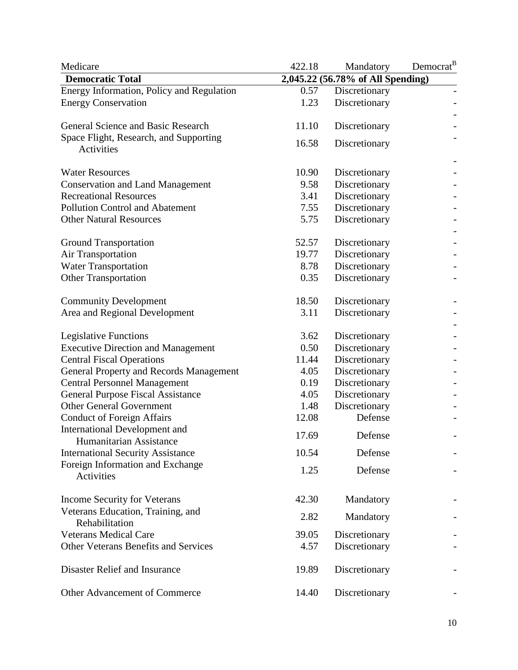| Medicare                                                    | 422.18 | Mandatory                         | Democrat <sup>B</sup> |
|-------------------------------------------------------------|--------|-----------------------------------|-----------------------|
| <b>Democratic Total</b>                                     |        | 2,045.22 (56.78% of All Spending) |                       |
| Energy Information, Policy and Regulation                   | 0.57   | Discretionary                     |                       |
| <b>Energy Conservation</b>                                  | 1.23   | Discretionary                     |                       |
| General Science and Basic Research                          | 11.10  | Discretionary                     |                       |
| Space Flight, Research, and Supporting<br><b>Activities</b> | 16.58  | Discretionary                     |                       |
| <b>Water Resources</b>                                      | 10.90  | Discretionary                     |                       |
| <b>Conservation and Land Management</b>                     | 9.58   | Discretionary                     |                       |
| <b>Recreational Resources</b>                               | 3.41   | Discretionary                     |                       |
| <b>Pollution Control and Abatement</b>                      | 7.55   | Discretionary                     |                       |
| <b>Other Natural Resources</b>                              | 5.75   | Discretionary                     |                       |
| <b>Ground Transportation</b>                                | 52.57  | Discretionary                     |                       |
| <b>Air Transportation</b>                                   | 19.77  | Discretionary                     |                       |
| <b>Water Transportation</b>                                 | 8.78   | Discretionary                     |                       |
| <b>Other Transportation</b>                                 | 0.35   | Discretionary                     |                       |
| <b>Community Development</b>                                | 18.50  | Discretionary                     |                       |
| Area and Regional Development                               | 3.11   | Discretionary                     |                       |
| Legislative Functions                                       | 3.62   | Discretionary                     |                       |
| <b>Executive Direction and Management</b>                   | 0.50   | Discretionary                     |                       |
| <b>Central Fiscal Operations</b>                            | 11.44  | Discretionary                     |                       |
| General Property and Records Management                     | 4.05   | Discretionary                     |                       |
| <b>Central Personnel Management</b>                         | 0.19   | Discretionary                     |                       |
| <b>General Purpose Fiscal Assistance</b>                    | 4.05   | Discretionary                     |                       |
| <b>Other General Government</b>                             | 1.48   | Discretionary                     |                       |
| <b>Conduct of Foreign Affairs</b>                           | 12.08  | Defense                           |                       |
| International Development and<br>Humanitarian Assistance    | 17.69  | Defense                           |                       |
| <b>International Security Assistance</b>                    | 10.54  | Defense                           |                       |
| Foreign Information and Exchange<br>Activities              | 1.25   | Defense                           |                       |
| Income Security for Veterans                                | 42.30  | Mandatory                         |                       |
| Veterans Education, Training, and<br>Rehabilitation         | 2.82   | Mandatory                         |                       |
| <b>Veterans Medical Care</b>                                | 39.05  | Discretionary                     |                       |
| <b>Other Veterans Benefits and Services</b>                 | 4.57   | Discretionary                     |                       |
| Disaster Relief and Insurance                               | 19.89  | Discretionary                     |                       |
| Other Advancement of Commerce                               | 14.40  | Discretionary                     |                       |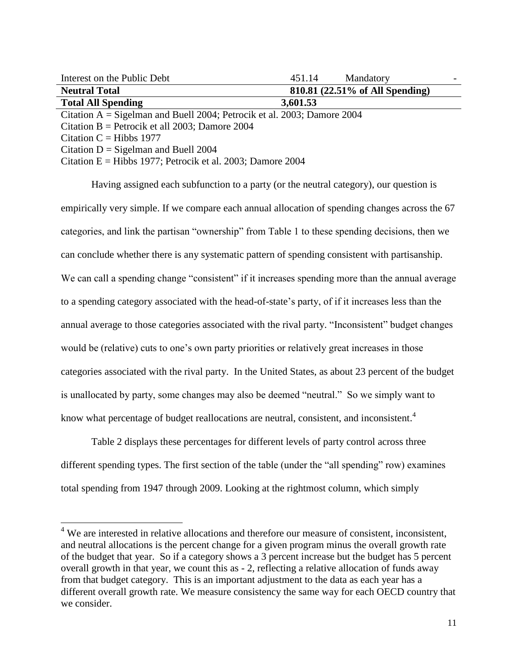| Interest on the Public Debt                                                | 451.14   | Mandatory                       |  |
|----------------------------------------------------------------------------|----------|---------------------------------|--|
| <b>Neutral Total</b>                                                       |          | 810.81 (22.51% of All Spending) |  |
| <b>Total All Spending</b>                                                  | 3,601.53 |                                 |  |
| Citation $A = S$ igelman and Buell 2004; Petrocik et al. 2003; Damore 2004 |          |                                 |  |
| Citation B = Petrocik et all 2003; Damore 2004                             |          |                                 |  |
| Citation C = Hibbs $1977$                                                  |          |                                 |  |
| $C_{\text{total}} \sim D - C_{\text{total}}$                               |          |                                 |  |

Citation  $D =$  Sigelman and Buell 2004

 $\overline{\phantom{a}}$ 

Citation  $E = Hibbs 1977$ ; Petrocik et al. 2003; Damore 2004

Having assigned each subfunction to a party (or the neutral category), our question is empirically very simple. If we compare each annual allocation of spending changes across the 67 categories, and link the partisan "ownership" from Table 1 to these spending decisions, then we can conclude whether there is any systematic pattern of spending consistent with partisanship. We can call a spending change "consistent" if it increases spending more than the annual average to a spending category associated with the head-of-state"s party, of if it increases less than the annual average to those categories associated with the rival party. "Inconsistent" budget changes would be (relative) cuts to one's own party priorities or relatively great increases in those categories associated with the rival party. In the United States, as about 23 percent of the budget is unallocated by party, some changes may also be deemed "neutral." So we simply want to know what percentage of budget reallocations are neutral, consistent, and inconsistent.<sup>4</sup>

Table 2 displays these percentages for different levels of party control across three different spending types. The first section of the table (under the "all spending" row) examines total spending from 1947 through 2009. Looking at the rightmost column, which simply

 $4$  We are interested in relative allocations and therefore our measure of consistent, inconsistent, and neutral allocations is the percent change for a given program minus the overall growth rate of the budget that year. So if a category shows a 3 percent increase but the budget has 5 percent overall growth in that year, we count this as - 2, reflecting a relative allocation of funds away from that budget category. This is an important adjustment to the data as each year has a different overall growth rate. We measure consistency the same way for each OECD country that we consider.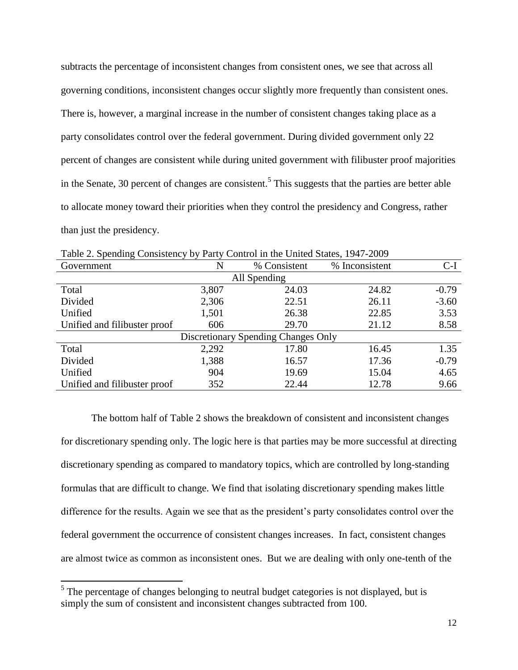subtracts the percentage of inconsistent changes from consistent ones, we see that across all governing conditions, inconsistent changes occur slightly more frequently than consistent ones. There is, however, a marginal increase in the number of consistent changes taking place as a party consolidates control over the federal government. During divided government only 22 percent of changes are consistent while during united government with filibuster proof majorities in the Senate, 30 percent of changes are consistent.<sup>5</sup> This suggests that the parties are better able to allocate money toward their priorities when they control the presidency and Congress, rather than just the presidency.

| Government                          | N     | % Consistent | % Inconsistent | C-I     |  |
|-------------------------------------|-------|--------------|----------------|---------|--|
|                                     |       |              |                |         |  |
|                                     |       | All Spending |                |         |  |
| Total                               | 3,807 | 24.03        | 24.82          | $-0.79$ |  |
| Divided                             | 2,306 | 22.51        | 26.11          | $-3.60$ |  |
| Unified                             | 1,501 | 26.38        | 22.85          | 3.53    |  |
| Unified and filibuster proof        | 606   | 29.70        | 21.12          | 8.58    |  |
| Discretionary Spending Changes Only |       |              |                |         |  |
| Total                               | 2,292 | 17.80        | 16.45          | 1.35    |  |
| Divided                             | 1,388 | 16.57        | 17.36          | $-0.79$ |  |
| Unified                             | 904   | 19.69        | 15.04          | 4.65    |  |
| Unified and filibuster proof        | 352   | 22.44        | 12.78          | 9.66    |  |

Table 2. Spending Consistency by Party Control in the United States, 1947-2009

The bottom half of Table 2 shows the breakdown of consistent and inconsistent changes for discretionary spending only. The logic here is that parties may be more successful at directing discretionary spending as compared to mandatory topics, which are controlled by long-standing formulas that are difficult to change. We find that isolating discretionary spending makes little difference for the results. Again we see that as the president's party consolidates control over the federal government the occurrence of consistent changes increases. In fact, consistent changes are almost twice as common as inconsistent ones. But we are dealing with only one-tenth of the

 $\overline{\phantom{a}}$ 

 $<sup>5</sup>$  The percentage of changes belonging to neutral budget categories is not displayed, but is</sup> simply the sum of consistent and inconsistent changes subtracted from 100.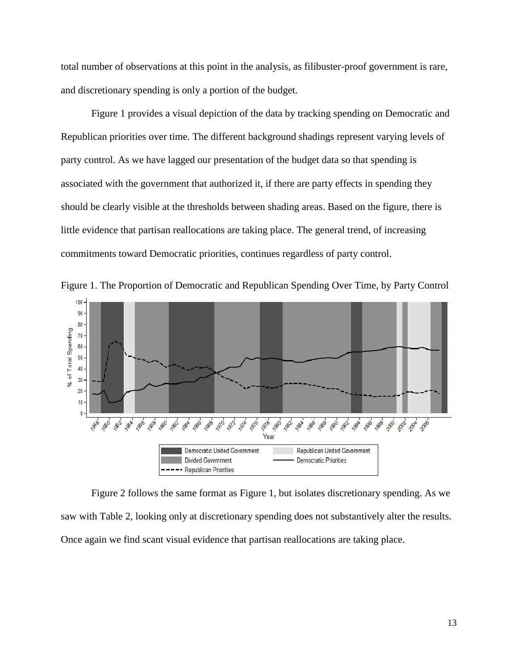total number of observations at this point in the analysis, as filibuster-proof government is rare, and discretionary spending is only a portion of the budget.

 Figure 1 provides a visual depiction of the data by tracking spending on Democratic and Republican priorities over time. The different background shadings represent varying levels of party control. As we have lagged our presentation of the budget data so that spending is associated with the government that authorized it, if there are party effects in spending they should be clearly visible at the thresholds between shading areas. Based on the figure, there is little evidence that partisan reallocations are taking place. The general trend, of increasing commitments toward Democratic priorities, continues regardless of party control.



Figure 1. The Proportion of Democratic and Republican Spending Over Time, by Party Control

Figure 2 follows the same format as Figure 1, but isolates discretionary spending. As we saw with Table 2, looking only at discretionary spending does not substantively alter the results. Once again we find scant visual evidence that partisan reallocations are taking place.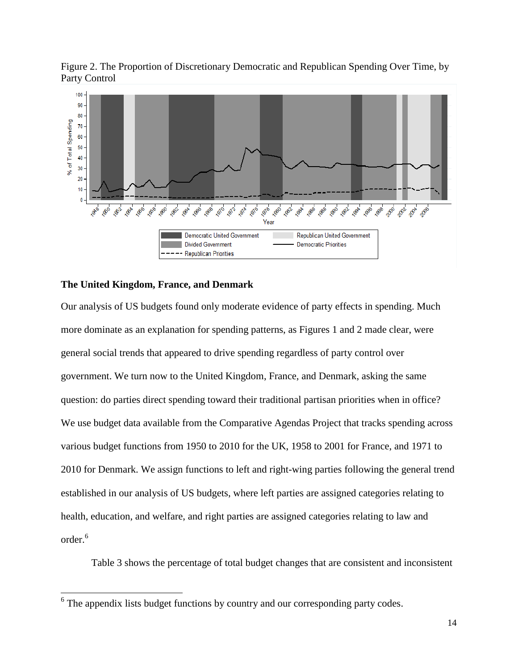Figure 2. The Proportion of Discretionary Democratic and Republican Spending Over Time, by Party Control



### **The United Kingdom, France, and Denmark**

 $\overline{\phantom{a}}$ 

Our analysis of US budgets found only moderate evidence of party effects in spending. Much more dominate as an explanation for spending patterns, as Figures 1 and 2 made clear, were general social trends that appeared to drive spending regardless of party control over government. We turn now to the United Kingdom, France, and Denmark, asking the same question: do parties direct spending toward their traditional partisan priorities when in office? We use budget data available from the Comparative Agendas Project that tracks spending across various budget functions from 1950 to 2010 for the UK, 1958 to 2001 for France, and 1971 to 2010 for Denmark. We assign functions to left and right-wing parties following the general trend established in our analysis of US budgets, where left parties are assigned categories relating to health, education, and welfare, and right parties are assigned categories relating to law and order. 6

Table 3 shows the percentage of total budget changes that are consistent and inconsistent

<sup>&</sup>lt;sup>6</sup> The appendix lists budget functions by country and our corresponding party codes.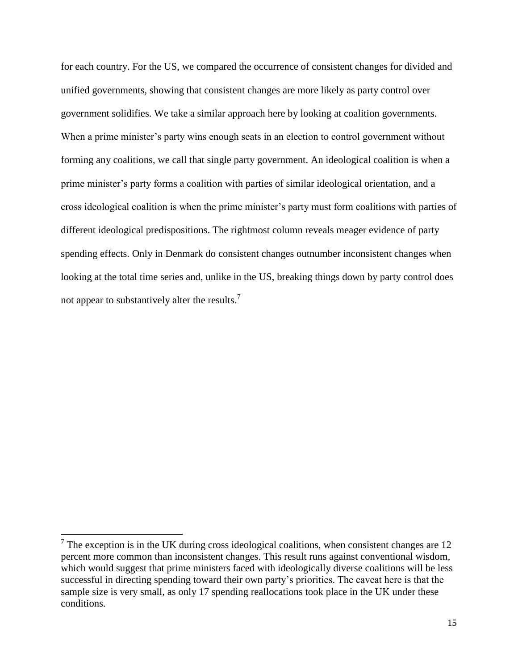for each country. For the US, we compared the occurrence of consistent changes for divided and unified governments, showing that consistent changes are more likely as party control over government solidifies. We take a similar approach here by looking at coalition governments. When a prime minister's party wins enough seats in an election to control government without forming any coalitions, we call that single party government. An ideological coalition is when a prime minister's party forms a coalition with parties of similar ideological orientation, and a cross ideological coalition is when the prime minister"s party must form coalitions with parties of different ideological predispositions. The rightmost column reveals meager evidence of party spending effects. Only in Denmark do consistent changes outnumber inconsistent changes when looking at the total time series and, unlike in the US, breaking things down by party control does not appear to substantively alter the results.<sup>7</sup>

 $\overline{\phantom{a}}$ 

 $7$  The exception is in the UK during cross ideological coalitions, when consistent changes are 12 percent more common than inconsistent changes. This result runs against conventional wisdom, which would suggest that prime ministers faced with ideologically diverse coalitions will be less successful in directing spending toward their own party"s priorities. The caveat here is that the sample size is very small, as only 17 spending reallocations took place in the UK under these conditions.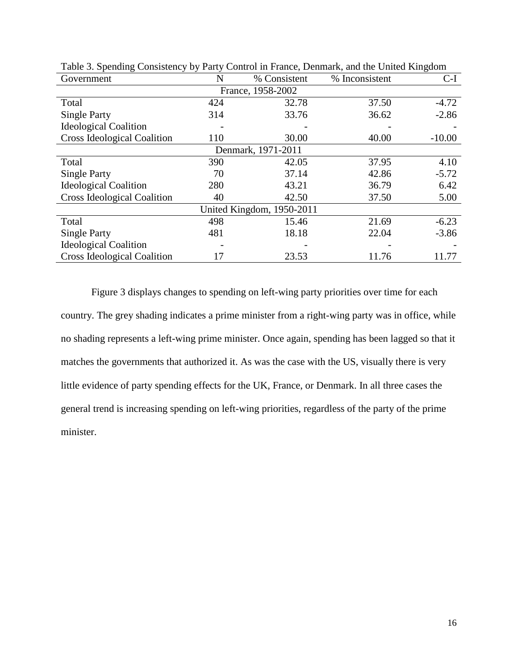| Government                         | N                 | % Consistent       | % Inconsistent | $C-I$    |  |  |  |  |
|------------------------------------|-------------------|--------------------|----------------|----------|--|--|--|--|
|                                    | France, 1958-2002 |                    |                |          |  |  |  |  |
| Total                              | 424               | 32.78              | 37.50          | $-4.72$  |  |  |  |  |
| <b>Single Party</b>                | 314               | 33.76              | 36.62          | $-2.86$  |  |  |  |  |
| <b>Ideological Coalition</b>       |                   |                    |                |          |  |  |  |  |
| <b>Cross Ideological Coalition</b> | 110               | 30.00              | 40.00          | $-10.00$ |  |  |  |  |
|                                    |                   | Denmark, 1971-2011 |                |          |  |  |  |  |
| Total                              | 390               | 42.05              | 37.95          | 4.10     |  |  |  |  |
| <b>Single Party</b>                | 70                | 37.14              | 42.86          | $-5.72$  |  |  |  |  |
| <b>Ideological Coalition</b>       | 280               | 43.21              | 36.79          | 6.42     |  |  |  |  |
| <b>Cross Ideological Coalition</b> | 40                | 42.50              | 37.50          | 5.00     |  |  |  |  |
| United Kingdom, 1950-2011          |                   |                    |                |          |  |  |  |  |
| Total                              | 498               | 15.46              | 21.69          | $-6.23$  |  |  |  |  |
| <b>Single Party</b>                | 481               | 18.18              | 22.04          | $-3.86$  |  |  |  |  |
| <b>Ideological Coalition</b>       |                   |                    |                |          |  |  |  |  |
| <b>Cross Ideological Coalition</b> | 17                | 23.53              | 11.76          | 11.77    |  |  |  |  |

Table 3. Spending Consistency by Party Control in France, Denmark, and the United Kingdom

Figure 3 displays changes to spending on left-wing party priorities over time for each country. The grey shading indicates a prime minister from a right-wing party was in office, while no shading represents a left-wing prime minister. Once again, spending has been lagged so that it matches the governments that authorized it. As was the case with the US, visually there is very little evidence of party spending effects for the UK, France, or Denmark. In all three cases the general trend is increasing spending on left-wing priorities, regardless of the party of the prime minister.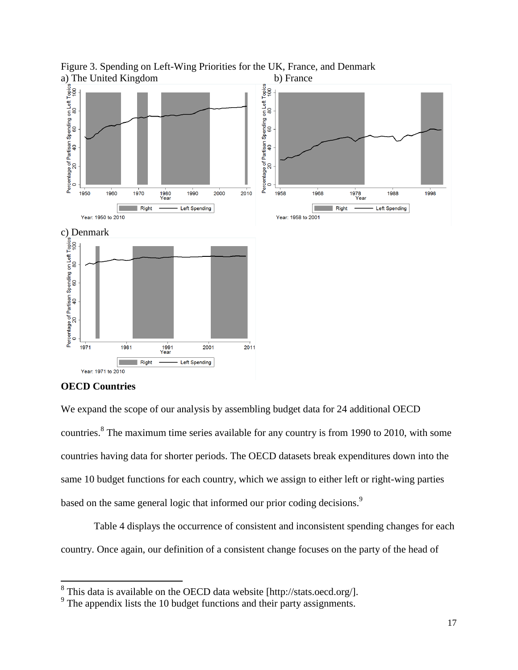

Figure 3. Spending on Left-Wing Priorities for the UK, France, and Denmark

#### **OECD Countries**

We expand the scope of our analysis by assembling budget data for 24 additional OECD countries.<sup>8</sup> The maximum time series available for any country is from 1990 to 2010, with some countries having data for shorter periods. The OECD datasets break expenditures down into the same 10 budget functions for each country, which we assign to either left or right-wing parties based on the same general logic that informed our prior coding decisions.<sup>9</sup>

 Table 4 displays the occurrence of consistent and inconsistent spending changes for each country. Once again, our definition of a consistent change focuses on the party of the head of

 8 This data is available on the OECD data website [http://stats.oecd.org/].

<sup>&</sup>lt;sup>9</sup> The appendix lists the 10 budget functions and their party assignments.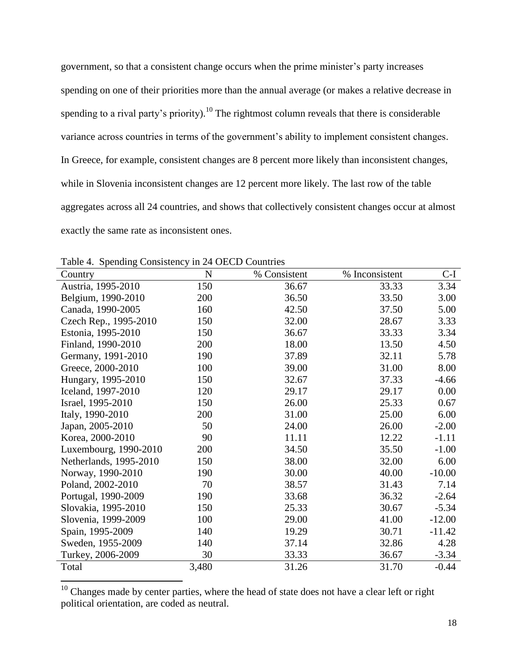government, so that a consistent change occurs when the prime minister"s party increases spending on one of their priorities more than the annual average (or makes a relative decrease in spending to a rival party's priority).<sup>10</sup> The rightmost column reveals that there is considerable variance across countries in terms of the government's ability to implement consistent changes. In Greece, for example, consistent changes are 8 percent more likely than inconsistent changes, while in Slovenia inconsistent changes are 12 percent more likely. The last row of the table aggregates across all 24 countries, and shows that collectively consistent changes occur at almost exactly the same rate as inconsistent ones.

| Country                | N     | % Consistent | % Inconsistent | C-I      |
|------------------------|-------|--------------|----------------|----------|
| Austria, 1995-2010     | 150   | 36.67        | 33.33          | 3.34     |
| Belgium, 1990-2010     | 200   | 36.50        | 33.50          | 3.00     |
| Canada, 1990-2005      | 160   | 42.50        | 37.50          | 5.00     |
| Czech Rep., 1995-2010  | 150   | 32.00        | 28.67          | 3.33     |
| Estonia, 1995-2010     | 150   | 36.67        | 33.33          | 3.34     |
| Finland, 1990-2010     | 200   | 18.00        | 13.50          | 4.50     |
| Germany, 1991-2010     | 190   | 37.89        | 32.11          | 5.78     |
| Greece, 2000-2010      | 100   | 39.00        | 31.00          | 8.00     |
| Hungary, 1995-2010     | 150   | 32.67        | 37.33          | $-4.66$  |
| Iceland, 1997-2010     | 120   | 29.17        | 29.17          | 0.00     |
| Israel, 1995-2010      | 150   | 26.00        | 25.33          | 0.67     |
| Italy, 1990-2010       | 200   | 31.00        | 25.00          | 6.00     |
| Japan, 2005-2010       | 50    | 24.00        | 26.00          | $-2.00$  |
| Korea, 2000-2010       | 90    | 11.11        | 12.22          | $-1.11$  |
| Luxembourg, 1990-2010  | 200   | 34.50        | 35.50          | $-1.00$  |
| Netherlands, 1995-2010 | 150   | 38.00        | 32.00          | 6.00     |
| Norway, 1990-2010      | 190   | 30.00        | 40.00          | $-10.00$ |
| Poland, 2002-2010      | 70    | 38.57        | 31.43          | 7.14     |
| Portugal, 1990-2009    | 190   | 33.68        | 36.32          | $-2.64$  |
| Slovakia, 1995-2010    | 150   | 25.33        | 30.67          | $-5.34$  |
| Slovenia, 1999-2009    | 100   | 29.00        | 41.00          | $-12.00$ |
| Spain, 1995-2009       | 140   | 19.29        | 30.71          | $-11.42$ |
| Sweden, 1955-2009      | 140   | 37.14        | 32.86          | 4.28     |
| Turkey, 2006-2009      | 30    | 33.33        | 36.67          | $-3.34$  |
| Total                  | 3,480 | 31.26        | 31.70          | $-0.44$  |

Table 4. Spending Consistency in 24 OECD Countries

 $\overline{\phantom{a}}$ 

 $10$  Changes made by center parties, where the head of state does not have a clear left or right political orientation, are coded as neutral.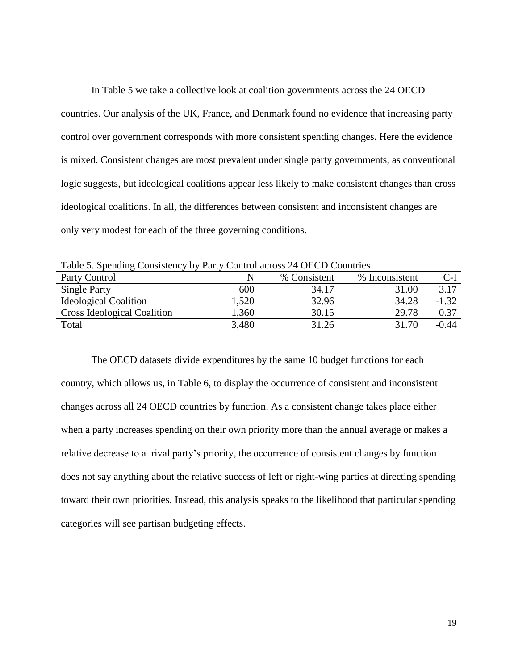In Table 5 we take a collective look at coalition governments across the 24 OECD countries. Our analysis of the UK, France, and Denmark found no evidence that increasing party control over government corresponds with more consistent spending changes. Here the evidence is mixed. Consistent changes are most prevalent under single party governments, as conventional logic suggests, but ideological coalitions appear less likely to make consistent changes than cross ideological coalitions. In all, the differences between consistent and inconsistent changes are only very modest for each of the three governing conditions.

| Table 5. Spending Consistency by Farty Control across 24 OLCD Countries |              |                |         |  |  |
|-------------------------------------------------------------------------|--------------|----------------|---------|--|--|
|                                                                         | % Consistent | % Inconsistent | $C-I$   |  |  |
| 600                                                                     | 34.17        | 31.00          | 3.17    |  |  |
| 1,520                                                                   | 32.96        | 34.28          | $-1.32$ |  |  |
| 1,360                                                                   | 30.15        | 29.78          | 0.37    |  |  |
| 3,480                                                                   | 31.26        | 31.70          | $-0.44$ |  |  |
|                                                                         |              |                |         |  |  |

Table 5. Spending Consistency by Party Control across 24 OECD Countries

The OECD datasets divide expenditures by the same 10 budget functions for each country, which allows us, in Table 6, to display the occurrence of consistent and inconsistent changes across all 24 OECD countries by function. As a consistent change takes place either when a party increases spending on their own priority more than the annual average or makes a relative decrease to a rival party"s priority, the occurrence of consistent changes by function does not say anything about the relative success of left or right-wing parties at directing spending toward their own priorities. Instead, this analysis speaks to the likelihood that particular spending categories will see partisan budgeting effects.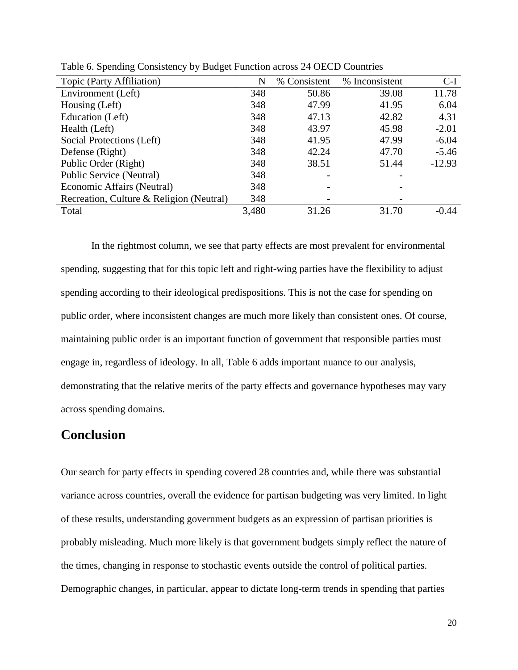| Topic (Party Affiliation)                | N     | % Consistent | % Inconsistent | $C-I$    |
|------------------------------------------|-------|--------------|----------------|----------|
| Environment (Left)                       | 348   | 50.86        | 39.08          | 11.78    |
| Housing (Left)                           | 348   | 47.99        | 41.95          | 6.04     |
| Education (Left)                         | 348   | 47.13        | 42.82          | 4.31     |
| Health (Left)                            | 348   | 43.97        | 45.98          | $-2.01$  |
| Social Protections (Left)                | 348   | 41.95        | 47.99          | $-6.04$  |
| Defense (Right)                          | 348   | 42.24        | 47.70          | $-5.46$  |
| Public Order (Right)                     | 348   | 38.51        | 51.44          | $-12.93$ |
| Public Service (Neutral)                 | 348   |              |                |          |
| Economic Affairs (Neutral)               | 348   |              |                |          |
| Recreation, Culture & Religion (Neutral) | 348   |              |                |          |
| Total                                    | 3,480 | 31.26        | 31.70          | $-0.44$  |
|                                          |       |              |                |          |

Table 6. Spending Consistency by Budget Function across 24 OECD Countries

In the rightmost column, we see that party effects are most prevalent for environmental spending, suggesting that for this topic left and right-wing parties have the flexibility to adjust spending according to their ideological predispositions. This is not the case for spending on public order, where inconsistent changes are much more likely than consistent ones. Of course, maintaining public order is an important function of government that responsible parties must engage in, regardless of ideology. In all, Table 6 adds important nuance to our analysis, demonstrating that the relative merits of the party effects and governance hypotheses may vary across spending domains.

## **Conclusion**

Our search for party effects in spending covered 28 countries and, while there was substantial variance across countries, overall the evidence for partisan budgeting was very limited. In light of these results, understanding government budgets as an expression of partisan priorities is probably misleading. Much more likely is that government budgets simply reflect the nature of the times, changing in response to stochastic events outside the control of political parties. Demographic changes, in particular, appear to dictate long-term trends in spending that parties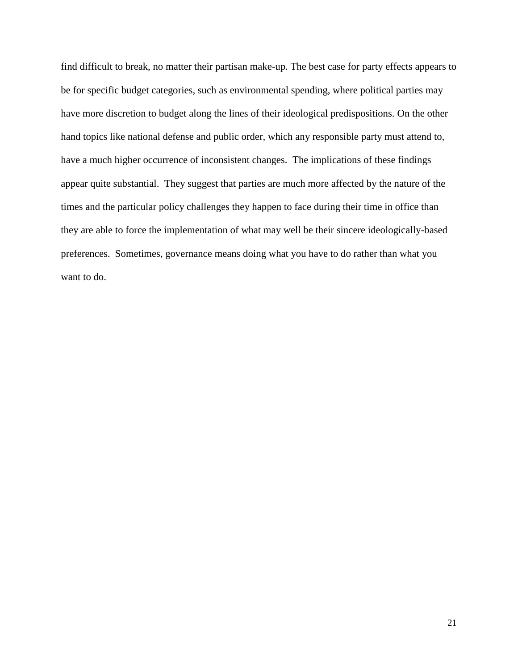find difficult to break, no matter their partisan make-up. The best case for party effects appears to be for specific budget categories, such as environmental spending, where political parties may have more discretion to budget along the lines of their ideological predispositions. On the other hand topics like national defense and public order, which any responsible party must attend to, have a much higher occurrence of inconsistent changes. The implications of these findings appear quite substantial. They suggest that parties are much more affected by the nature of the times and the particular policy challenges they happen to face during their time in office than they are able to force the implementation of what may well be their sincere ideologically-based preferences. Sometimes, governance means doing what you have to do rather than what you want to do.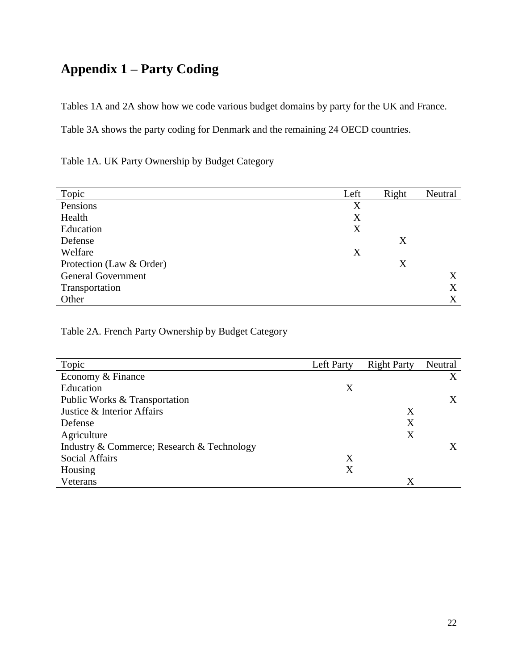# **Appendix 1 – Party Coding**

Tables 1A and 2A show how we code various budget domains by party for the UK and France.

Table 3A shows the party coding for Denmark and the remaining 24 OECD countries.

Table 1A. UK Party Ownership by Budget Category

| Topic                     | Left | Right | Neutral |
|---------------------------|------|-------|---------|
| Pensions                  | X    |       |         |
| Health                    | X    |       |         |
| Education                 | X    |       |         |
| Defense                   |      | X     |         |
| Welfare                   | X    |       |         |
| Protection (Law & Order)  |      | X     |         |
| <b>General Government</b> |      |       | X       |
| Transportation            |      |       | X       |
| Other                     |      |       | X       |

Table 2A. French Party Ownership by Budget Category

| Topic                                      | Left Party | <b>Right Party</b> | Neutral |
|--------------------------------------------|------------|--------------------|---------|
| Economy & Finance                          |            |                    | X       |
| Education                                  | Χ          |                    |         |
| Public Works & Transportation              |            |                    | X       |
| Justice & Interior Affairs                 |            | Χ                  |         |
| Defense                                    |            | Χ                  |         |
| Agriculture                                |            | Χ                  |         |
| Industry & Commerce; Research & Technology |            |                    |         |
| <b>Social Affairs</b>                      | Χ          |                    |         |
| Housing                                    | Χ          |                    |         |
| Veterans                                   |            | X                  |         |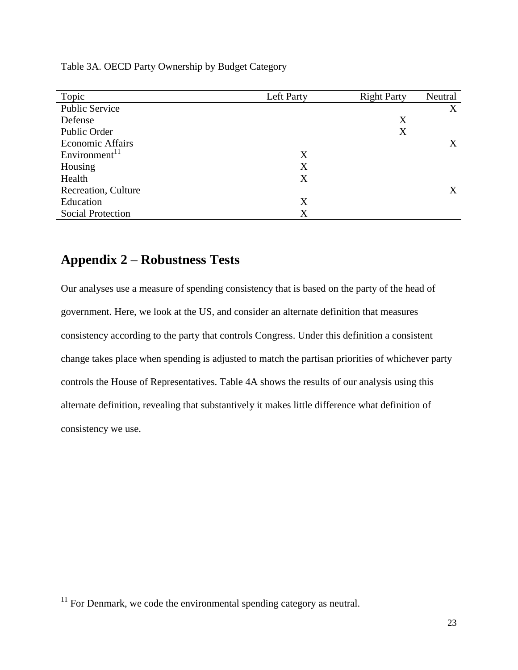| Topic                     | Left Party | <b>Right Party</b> | Neutral |
|---------------------------|------------|--------------------|---------|
| <b>Public Service</b>     |            |                    | X       |
| Defense                   |            | X                  |         |
| Public Order              |            | X                  |         |
| <b>Economic Affairs</b>   |            |                    | X       |
| Environment <sup>11</sup> | X          |                    |         |
| Housing                   | X          |                    |         |
| Health                    | X          |                    |         |
| Recreation, Culture       |            |                    | X       |
| Education                 | X          |                    |         |
| <b>Social Protection</b>  | X          |                    |         |
|                           |            |                    |         |

Table 3A. OECD Party Ownership by Budget Category

## **Appendix 2 – Robustness Tests**

Our analyses use a measure of spending consistency that is based on the party of the head of government. Here, we look at the US, and consider an alternate definition that measures consistency according to the party that controls Congress. Under this definition a consistent change takes place when spending is adjusted to match the partisan priorities of whichever party controls the House of Representatives. Table 4A shows the results of our analysis using this alternate definition, revealing that substantively it makes little difference what definition of consistency we use.

 $\overline{\phantom{a}}$ 

 $11$  For Denmark, we code the environmental spending category as neutral.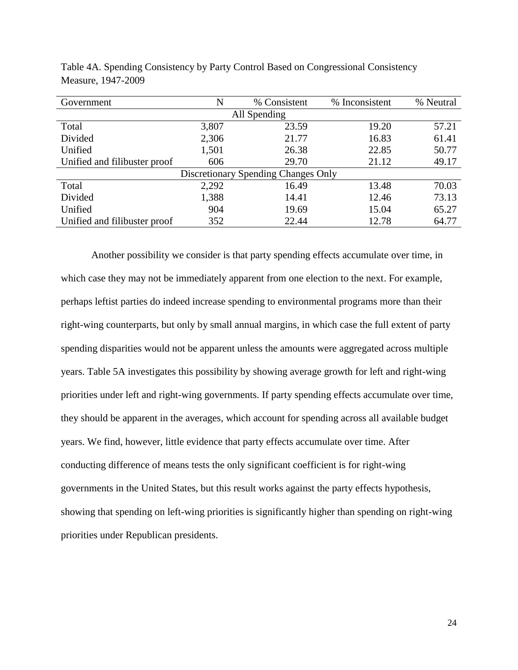| Government                          | N     | % Consistent | % Inconsistent | % Neutral |  |
|-------------------------------------|-------|--------------|----------------|-----------|--|
|                                     |       | All Spending |                |           |  |
| Total                               | 3,807 | 23.59        | 19.20          | 57.21     |  |
| Divided                             | 2,306 | 21.77        | 16.83          | 61.41     |  |
| Unified                             | 1,501 | 26.38        | 22.85          | 50.77     |  |
| Unified and filibuster proof        | 606   | 29.70        | 21.12          | 49.17     |  |
| Discretionary Spending Changes Only |       |              |                |           |  |
| Total                               | 2,292 | 16.49        | 13.48          | 70.03     |  |
| Divided                             | 1,388 | 14.41        | 12.46          | 73.13     |  |
| Unified                             | 904   | 19.69        | 15.04          | 65.27     |  |
| Unified and filibuster proof        | 352   | 22.44        | 12.78          | 64.77     |  |

Table 4A. Spending Consistency by Party Control Based on Congressional Consistency Measure, 1947-2009

Another possibility we consider is that party spending effects accumulate over time, in which case they may not be immediately apparent from one election to the next. For example, perhaps leftist parties do indeed increase spending to environmental programs more than their right-wing counterparts, but only by small annual margins, in which case the full extent of party spending disparities would not be apparent unless the amounts were aggregated across multiple years. Table 5A investigates this possibility by showing average growth for left and right-wing priorities under left and right-wing governments. If party spending effects accumulate over time, they should be apparent in the averages, which account for spending across all available budget years. We find, however, little evidence that party effects accumulate over time. After conducting difference of means tests the only significant coefficient is for right-wing governments in the United States, but this result works against the party effects hypothesis, showing that spending on left-wing priorities is significantly higher than spending on right-wing priorities under Republican presidents.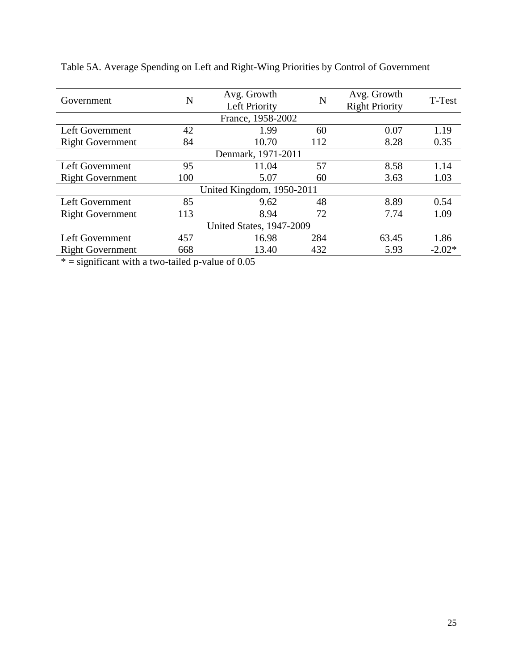| Government                      | N   | Avg. Growth<br>Left Priority | N   | Avg. Growth<br><b>Right Priority</b> | T-Test   |
|---------------------------------|-----|------------------------------|-----|--------------------------------------|----------|
| France, 1958-2002               |     |                              |     |                                      |          |
| Left Government                 | 42  | 1.99                         | 60  | 0.07                                 | 1.19     |
| <b>Right Government</b>         | 84  | 10.70                        | 112 | 8.28                                 | 0.35     |
| Denmark, 1971-2011              |     |                              |     |                                      |          |
| Left Government                 | 95  | 11.04                        | 57  | 8.58                                 | 1.14     |
| <b>Right Government</b>         | 100 | 5.07                         | 60  | 3.63                                 | 1.03     |
| United Kingdom, 1950-2011       |     |                              |     |                                      |          |
| Left Government                 | 85  | 9.62                         | 48  | 8.89                                 | 0.54     |
| <b>Right Government</b>         | 113 | 8.94                         | 72  | 7.74                                 | 1.09     |
| <b>United States, 1947-2009</b> |     |                              |     |                                      |          |
| Left Government                 | 457 | 16.98                        | 284 | 63.45                                | 1.86     |
| <b>Right Government</b>         | 668 | 13.40                        | 432 | 5.93                                 | $-2.02*$ |

Table 5A. Average Spending on Left and Right-Wing Priorities by Control of Government

 $* =$  significant with a two-tailed p-value of 0.05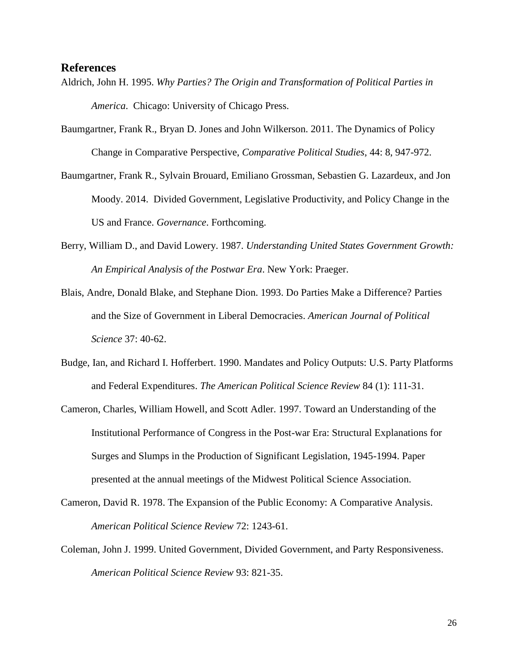#### **References**

- Aldrich, John H. 1995. *Why Parties? The Origin and Transformation of Political Parties in America*. Chicago: University of Chicago Press.
- Baumgartner, Frank R., Bryan D. Jones and John Wilkerson. 2011. The Dynamics of Policy Change in Comparative Perspective, *Comparative Political Studies*, 44: 8, 947-972.
- Baumgartner, Frank R., Sylvain Brouard, Emiliano Grossman, Sebastien G. Lazardeux, and Jon Moody. 2014. Divided Government, Legislative Productivity, and Policy Change in the US and France. *Governance*. Forthcoming.
- Berry, William D., and David Lowery. 1987. *Understanding United States Government Growth: An Empirical Analysis of the Postwar Era*. New York: Praeger.
- Blais, Andre, Donald Blake, and Stephane Dion. 1993. Do Parties Make a Difference? Parties and the Size of Government in Liberal Democracies. *American Journal of Political Science* 37: 40-62.
- Budge, Ian, and Richard I. Hofferbert. 1990. Mandates and Policy Outputs: U.S. Party Platforms and Federal Expenditures. *The American Political Science Review* 84 (1): 111-31.
- Cameron, Charles, William Howell, and Scott Adler. 1997. Toward an Understanding of the Institutional Performance of Congress in the Post-war Era: Structural Explanations for Surges and Slumps in the Production of Significant Legislation, 1945-1994. Paper presented at the annual meetings of the Midwest Political Science Association.
- Cameron, David R. 1978. The Expansion of the Public Economy: A Comparative Analysis. *American Political Science Review* 72: 1243-61.
- Coleman, John J. 1999. United Government, Divided Government, and Party Responsiveness. *American Political Science Review* 93: 821-35.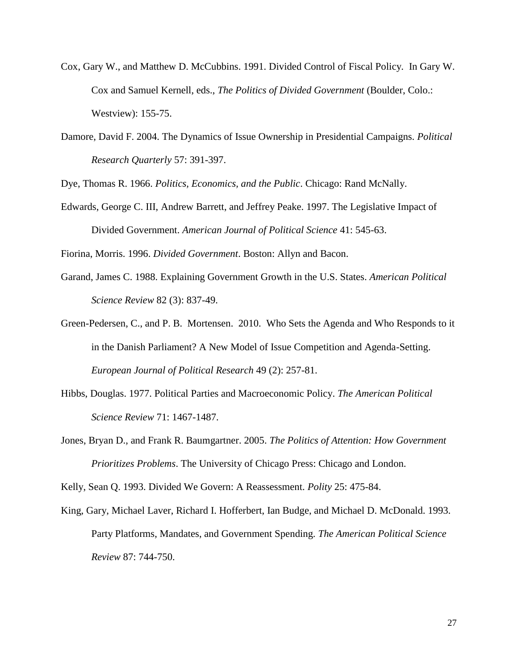- Cox, Gary W., and Matthew D. McCubbins. 1991. Divided Control of Fiscal Policy. In Gary W. Cox and Samuel Kernell, eds., *The Politics of Divided Government* (Boulder, Colo.: Westview): 155-75.
- Damore, David F. 2004. The Dynamics of Issue Ownership in Presidential Campaigns. *Political Research Quarterly* 57: 391-397.

Dye, Thomas R. 1966. *Politics, Economics, and the Public*. Chicago: Rand McNally.

Edwards, George C. III, Andrew Barrett, and Jeffrey Peake. 1997. The Legislative Impact of Divided Government. *American Journal of Political Science* 41: 545-63.

Fiorina, Morris. 1996. *Divided Government*. Boston: Allyn and Bacon.

- Garand, James C. 1988. Explaining Government Growth in the U.S. States. *American Political Science Review* 82 (3): 837-49.
- Green-Pedersen, C., and P. B. Mortensen. 2010. Who Sets the Agenda and Who Responds to it in the Danish Parliament? A New Model of Issue Competition and Agenda-Setting. *European Journal of Political Research* 49 (2): 257-81.
- Hibbs, Douglas. 1977. Political Parties and Macroeconomic Policy. *The American Political Science Review* 71: 1467-1487.
- Jones, Bryan D., and Frank R. Baumgartner. 2005. *The Politics of Attention: How Government Prioritizes Problems*. The University of Chicago Press: Chicago and London.

Kelly, Sean Q. 1993. Divided We Govern: A Reassessment. *Polity* 25: 475-84.

King, Gary, Michael Laver, Richard I. Hofferbert, Ian Budge, and Michael D. McDonald. 1993. Party Platforms, Mandates, and Government Spending. *The American Political Science Review* 87: 744-750.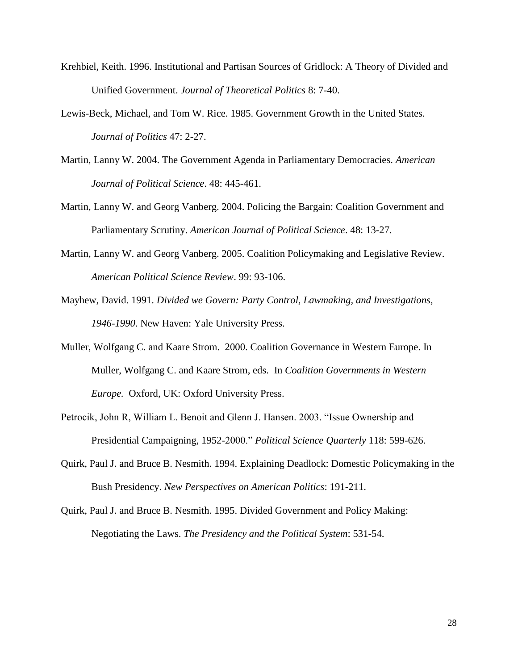- Krehbiel, Keith. 1996. Institutional and Partisan Sources of Gridlock: A Theory of Divided and Unified Government. *Journal of Theoretical Politics* 8: 7-40.
- Lewis-Beck, Michael, and Tom W. Rice. 1985. Government Growth in the United States. *Journal of Politics* 47: 2-27.
- Martin, Lanny W. 2004. The Government Agenda in Parliamentary Democracies. *American Journal of Political Science*. 48: 445-461.
- Martin, Lanny W. and Georg Vanberg. 2004. Policing the Bargain: Coalition Government and Parliamentary Scrutiny. *American Journal of Political Science*. 48: 13-27.
- Martin, Lanny W. and Georg Vanberg. 2005. Coalition Policymaking and Legislative Review. *American Political Science Review*. 99: 93-106.
- Mayhew, David. 1991. *Divided we Govern: Party Control, Lawmaking, and Investigations, 1946-1990*. New Haven: Yale University Press.
- Muller, Wolfgang C. and Kaare Strom. 2000. Coalition Governance in Western Europe. In Muller, Wolfgang C. and Kaare Strom, eds. In *Coalition Governments in Western Europe.* Oxford, UK: Oxford University Press.
- Petrocik, John R, William L. Benoit and Glenn J. Hansen. 2003. "Issue Ownership and Presidential Campaigning, 1952-2000." *Political Science Quarterly* 118: 599-626.
- Quirk, Paul J. and Bruce B. Nesmith. 1994. Explaining Deadlock: Domestic Policymaking in the Bush Presidency. *New Perspectives on American Politics*: 191-211.
- Quirk, Paul J. and Bruce B. Nesmith. 1995. Divided Government and Policy Making: Negotiating the Laws. *The Presidency and the Political System*: 531-54.